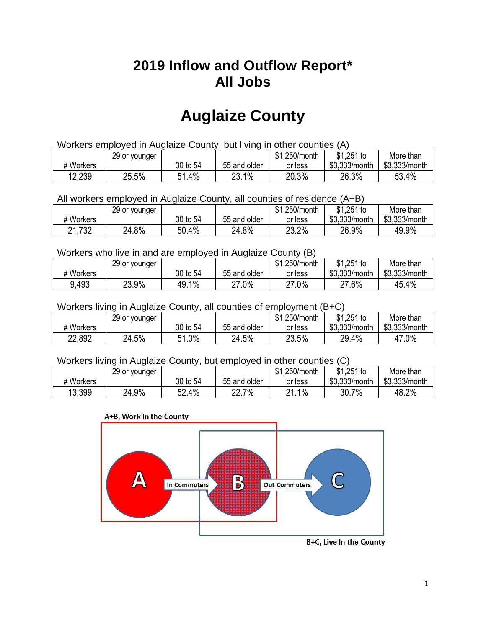## **2019 Inflow and Outflow Report\* All Jobs**

# **Auglaize County**

| Workers employed in Auglaize County, but living in other counties (A) |                                                            |          |              |         |               |               |  |  |  |
|-----------------------------------------------------------------------|------------------------------------------------------------|----------|--------------|---------|---------------|---------------|--|--|--|
|                                                                       | $$1,251$ to<br>\$1.250/month<br>More than<br>29 or younger |          |              |         |               |               |  |  |  |
| # Workers                                                             |                                                            | 30 to 54 | 55 and older | or less | \$3.333/month | \$3.333/month |  |  |  |
| 12,239                                                                | 25.5%                                                      | 51.4%    | 23.1%        | 20.3%   | 26.3%         | 53.4%         |  |  |  |

All workers employed in Auglaize County, all counties of residence (A+B)

|           | 29 or younger |          |              | \$1,250/month | \$1,251 to    | More than     |
|-----------|---------------|----------|--------------|---------------|---------------|---------------|
| # Workers |               | 30 to 54 | 55 and older | or less       | \$3,333/month | \$3,333/month |
| 21,732    | 24.8%         | 50.4%    | 24.8%        | 23.2%         | 26.9%         | 49.9%         |

#### Workers who live in and are employed in Auglaize County (B)

|           | 29 or younger |               |              | \$1,250/month | $$1,251$ to   | More than     |
|-----------|---------------|---------------|--------------|---------------|---------------|---------------|
| # Workers |               | 30 to 54      | 55 and older | or less       | \$3,333/month | \$3,333/month |
| 9.493     | 23.9%         | $1\%$<br>49 i | 27.0%        | 27.0%         | 27.6%         | 45.4%         |

#### Workers living in Auglaize County, all counties of employment (B+C)

|           | 29 or younger |               |              | \$1,250/month | \$1,251 to    | More than     |
|-----------|---------------|---------------|--------------|---------------|---------------|---------------|
| # Workers |               | 30 to 54      | 55 and older | or less       | \$3,333/month | \$3,333/month |
| 22,892    | 24.5%         | $1.0\%$<br>51 | 24.5%        | 23.5%         | 29.4%         | 47.0%         |

#### Workers living in Auglaize County, but employed in other counties (C)

|           | 29 or younger |          |                  | \$1,250/month | $$1,251$ to   | More than     |
|-----------|---------------|----------|------------------|---------------|---------------|---------------|
| # Workers |               | 30 to 54 | 55 and older     | or less       | \$3,333/month | \$3,333/month |
| 13,399    | 24.9%         | 52.4%    | 7%<br>∩∩<br>22.I | 1%<br>ດ 4     | 30.7%         | 48.2%         |